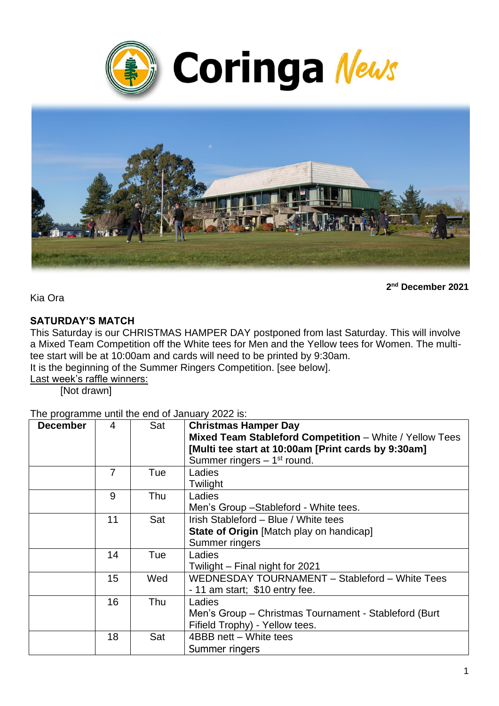



**2 nd December 2021**

Kia Ora

### **SATURDAY'S MATCH**

This Saturday is our CHRISTMAS HAMPER DAY postponed from last Saturday. This will involve a Mixed Team Competition off the White tees for Men and the Yellow tees for Women. The multitee start will be at 10:00am and cards will need to be printed by 9:30am.

It is the beginning of the Summer Ringers Competition. [see below].

Last week's raffle winners:

[Not drawn]

The programme until the end of January 2022 is:

| <b>December</b> | 4  | Sat | <b>Christmas Hamper Day</b><br><b>Mixed Team Stableford Competition - White / Yellow Tees</b><br>[Multi tee start at 10:00am [Print cards by 9:30am]<br>Summer ringers $-1st$ round. |
|-----------------|----|-----|--------------------------------------------------------------------------------------------------------------------------------------------------------------------------------------|
|                 | 7  | Tue | Ladies<br>Twilight                                                                                                                                                                   |
|                 | 9  | Thu | Ladies<br>Men's Group - Stableford - White tees.                                                                                                                                     |
|                 | 11 | Sat | Irish Stableford - Blue / White tees<br><b>State of Origin</b> [Match play on handicap]<br>Summer ringers                                                                            |
|                 | 14 | Tue | Ladies<br>Twilight – Final night for 2021                                                                                                                                            |
|                 | 15 | Wed | WEDNESDAY TOURNAMENT - Stableford - White Tees<br>- 11 am start; \$10 entry fee.                                                                                                     |
|                 | 16 | Thu | Ladies<br>Men's Group - Christmas Tournament - Stableford (Burt<br>Fifield Trophy) - Yellow tees.                                                                                    |
|                 | 18 | Sat | 4BBB nett - White tees<br>Summer ringers                                                                                                                                             |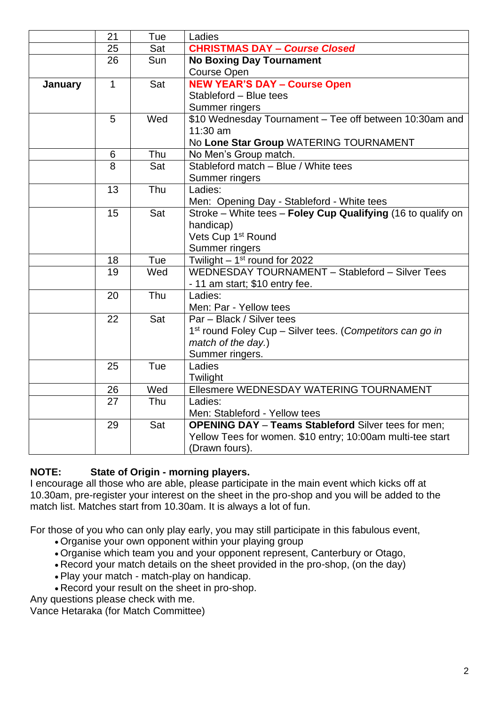|         | 21           | Tue        | Ladies                                                                            |  |
|---------|--------------|------------|-----------------------------------------------------------------------------------|--|
|         | 25           | Sat        | <b>CHRISTMAS DAY - Course Closed</b>                                              |  |
|         | 26           | Sun        | <b>No Boxing Day Tournament</b>                                                   |  |
|         |              |            | Course Open                                                                       |  |
| January | $\mathbf{1}$ | Sat        | <b>NEW YEAR'S DAY - Course Open</b>                                               |  |
|         |              |            | Stableford - Blue tees                                                            |  |
|         |              |            | Summer ringers                                                                    |  |
|         | 5            | Wed        | \$10 Wednesday Tournament - Tee off between 10:30am and                           |  |
|         |              |            | 11:30 am                                                                          |  |
|         |              |            | No Lone Star Group WATERING TOURNAMENT                                            |  |
|         | 6            | Thu        | No Men's Group match.                                                             |  |
|         | 8            | Sat        | Stableford match - Blue / White tees                                              |  |
|         |              |            | Summer ringers                                                                    |  |
|         | 13           | Thu        | Ladies:                                                                           |  |
|         |              |            | Men: Opening Day - Stableford - White tees                                        |  |
|         | 15           | Sat        | Stroke – White tees – Foley Cup Qualifying (16 to qualify on                      |  |
|         |              |            | handicap)                                                                         |  |
|         |              |            | Vets Cup 1 <sup>st</sup> Round                                                    |  |
|         |              |            | Summer ringers                                                                    |  |
|         | 18           | Tue<br>Wed | Twilight $-1st$ round for 2022<br>WEDNESDAY TOURNAMENT - Stableford - Silver Tees |  |
|         | 19           |            | - 11 am start; \$10 entry fee.                                                    |  |
|         | 20           | Thu        | Ladies:                                                                           |  |
|         |              |            | Men: Par - Yellow tees                                                            |  |
|         | 22           | Sat        | Par - Black / Silver tees                                                         |  |
|         |              |            | 1 <sup>st</sup> round Foley Cup – Silver tees. (Competitors can go in             |  |
|         |              |            | match of the day.)                                                                |  |
|         |              |            | Summer ringers.                                                                   |  |
|         | 25           | Tue        | Ladies                                                                            |  |
|         |              |            | Twilight                                                                          |  |
|         | 26           | Wed        | Ellesmere WEDNESDAY WATERING TOURNAMENT                                           |  |
|         | 27           | Thu        | Ladies:                                                                           |  |
|         |              |            | Men: Stableford - Yellow tees                                                     |  |
|         | 29           | Sat        | <b>OPENING DAY - Teams Stableford Silver tees for men;</b>                        |  |
|         |              |            | Yellow Tees for women. \$10 entry; 10:00am multi-tee start                        |  |
|         |              |            | (Drawn fours).                                                                    |  |

#### **NOTE: State of Origin - morning players.**

I encourage all those who are able, please participate in the main event which kicks off at 10.30am, pre-register your interest on the sheet in the pro-shop and you will be added to the match list. Matches start from 10.30am. It is always a lot of fun.

For those of you who can only play early, you may still participate in this fabulous event,

- Organise your own opponent within your playing group
- Organise which team you and your opponent represent, Canterbury or Otago,
- Record your match details on the sheet provided in the pro-shop, (on the day)
- Play your match match-play on handicap.
- Record your result on the sheet in pro-shop.

Any questions please check with me.

Vance Hetaraka (for Match Committee)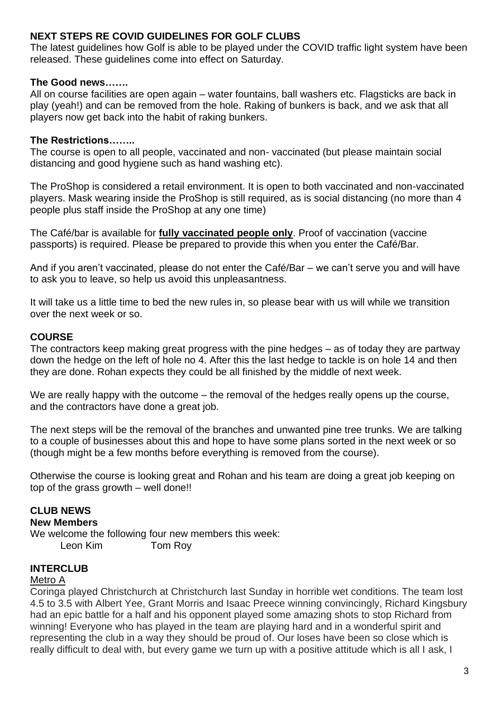#### **NEXT STEPS RE COVID GUIDELINES FOR GOLF CLUBS**

The latest guidelines how Golf is able to be played under the COVID traffic light system have been released. These guidelines come into effect on Saturday.

#### **The Good news…….**

All on course facilities are open again – water fountains, ball washers etc. Flagsticks are back in play (yeah!) and can be removed from the hole. Raking of bunkers is back, and we ask that all players now get back into the habit of raking bunkers.

#### **The Restrictions……..**

The course is open to all people, vaccinated and non- vaccinated (but please maintain social distancing and good hygiene such as hand washing etc).

The ProShop is considered a retail environment. It is open to both vaccinated and non-vaccinated players. Mask wearing inside the ProShop is still required, as is social distancing (no more than 4 people plus staff inside the ProShop at any one time)

The Café/bar is available for **fully vaccinated people only**. Proof of vaccination (vaccine passports) is required. Please be prepared to provide this when you enter the Café/Bar.

And if you aren't vaccinated, please do not enter the Café/Bar – we can't serve you and will have to ask you to leave, so help us avoid this unpleasantness.

It will take us a little time to bed the new rules in, so please bear with us will while we transition over the next week or so.

#### **COURSE**

The contractors keep making great progress with the pine hedges – as of today they are partway down the hedge on the left of hole no 4. After this the last hedge to tackle is on hole 14 and then they are done. Rohan expects they could be all finished by the middle of next week.

We are really happy with the outcome – the removal of the hedges really opens up the course, and the contractors have done a great job.

The next steps will be the removal of the branches and unwanted pine tree trunks. We are talking to a couple of businesses about this and hope to have some plans sorted in the next week or so (though might be a few months before everything is removed from the course).

Otherwise the course is looking great and Rohan and his team are doing a great job keeping on top of the grass growth – well done!!

# **CLUB NEWS**

## **New Members**

We welcome the following four new members this week: Leon Kim Tom Roy

#### **INTERCLUB**

#### Metro A

Coringa played Christchurch at Christchurch last Sunday in horrible wet conditions. The team lost 4.5 to 3.5 with Albert Yee, Grant Morris and Isaac Preece winning convincingly, Richard Kingsbury had an epic battle for a half and his opponent played some amazing shots to stop Richard from winning! Everyone who has played in the team are playing hard and in a wonderful spirit and representing the club in a way they should be proud of. Our loses have been so close which is really difficult to deal with, but every game we turn up with a positive attitude which is all I ask, I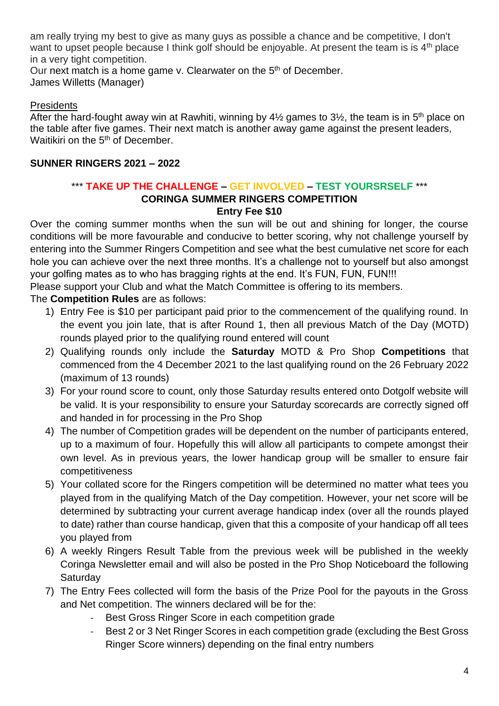am really trying my best to give as many guys as possible a chance and be competitive, I don't want to upset people because I think golf should be enjoyable. At present the team is is 4<sup>th</sup> place in a very tight competition.

Our next match is a home game v. Clearwater on the 5<sup>th</sup> of December. James Willetts (Manager)

#### **Presidents**

After the hard-fought away win at Rawhiti, winning by  $4\frac{1}{2}$  games to  $3\frac{1}{2}$ , the team is in  $5<sup>th</sup>$  place on the table after five games. Their next match is another away game against the present leaders, Waitikiri on the 5<sup>th</sup> of December.

## **SUNNER RINGERS 2021 – 2022**

## \*\*\* **TAKE UP THE CHALLENGE – GET INVOLVED – TEST YOURSRSELF** \*\*\* **CORINGA SUMMER RINGERS COMPETITION**

#### **Entry Fee \$10**

Over the coming summer months when the sun will be out and shining for longer, the course conditions will be more favourable and conducive to better scoring, why not challenge yourself by entering into the Summer Ringers Competition and see what the best cumulative net score for each hole you can achieve over the next three months. It's a challenge not to yourself but also amongst your golfing mates as to who has bragging rights at the end. It's FUN, FUN, FUN!!!

Please support your Club and what the Match Committee is offering to its members.

#### The **Competition Rules** are as follows:

- 1) Entry Fee is \$10 per participant paid prior to the commencement of the qualifying round. In the event you join late, that is after Round 1, then all previous Match of the Day (MOTD) rounds played prior to the qualifying round entered will count
- 2) Qualifying rounds only include the **Saturday** MOTD & Pro Shop **Competitions** that commenced from the 4 December 2021 to the last qualifying round on the 26 February 2022 (maximum of 13 rounds)
- 3) For your round score to count, only those Saturday results entered onto Dotgolf website will be valid. It is your responsibility to ensure your Saturday scorecards are correctly signed off and handed in for processing in the Pro Shop
- 4) The number of Competition grades will be dependent on the number of participants entered, up to a maximum of four. Hopefully this will allow all participants to compete amongst their own level. As in previous years, the lower handicap group will be smaller to ensure fair competitiveness
- 5) Your collated score for the Ringers competition will be determined no matter what tees you played from in the qualifying Match of the Day competition. However, your net score will be determined by subtracting your current average handicap index (over all the rounds played to date) rather than course handicap, given that this a composite of your handicap off all tees you played from
- 6) A weekly Ringers Result Table from the previous week will be published in the weekly Coringa Newsletter email and will also be posted in the Pro Shop Noticeboard the following **Saturday**
- 7) The Entry Fees collected will form the basis of the Prize Pool for the payouts in the Gross and Net competition. The winners declared will be for the:
	- Best Gross Ringer Score in each competition grade
	- Best 2 or 3 Net Ringer Scores in each competition grade (excluding the Best Gross Ringer Score winners) depending on the final entry numbers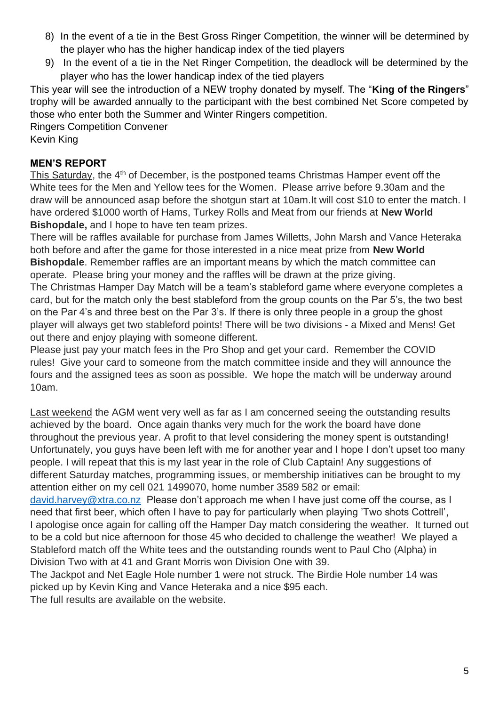- 8) In the event of a tie in the Best Gross Ringer Competition, the winner will be determined by the player who has the higher handicap index of the tied players
- 9) In the event of a tie in the Net Ringer Competition, the deadlock will be determined by the player who has the lower handicap index of the tied players

This year will see the introduction of a NEW trophy donated by myself. The "**King of the Ringers**" trophy will be awarded annually to the participant with the best combined Net Score competed by those who enter both the Summer and Winter Ringers competition.

Ringers Competition Convener

Kevin King

#### **MEN'S REPORT**

This Saturday, the 4<sup>th</sup> of December, is the postponed teams Christmas Hamper event off the White tees for the Men and Yellow tees for the Women. Please arrive before 9.30am and the draw will be announced asap before the shotgun start at 10am.It will cost \$10 to enter the match. I have ordered \$1000 worth of Hams, Turkey Rolls and Meat from our friends at **New World Bishopdale,** and I hope to have ten team prizes.

There will be raffles available for purchase from James Willetts, John Marsh and Vance Heteraka both before and after the game for those interested in a nice meat prize from **New World Bishopdale**. Remember raffles are an important means by which the match committee can operate. Please bring your money and the raffles will be drawn at the prize giving.

The Christmas Hamper Day Match will be a team's stableford game where everyone completes a card, but for the match only the best stableford from the group counts on the Par 5's, the two best on the Par 4's and three best on the Par 3's. If there is only three people in a group the ghost player will always get two stableford points! There will be two divisions - a Mixed and Mens! Get out there and enjoy playing with someone different.

Please just pay your match fees in the Pro Shop and get your card. Remember the COVID rules! Give your card to someone from the match committee inside and they will announce the fours and the assigned tees as soon as possible. We hope the match will be underway around 10am.

Last weekend the AGM went very well as far as I am concerned seeing the outstanding results achieved by the board. Once again thanks very much for the work the board have done throughout the previous year. A profit to that level considering the money spent is outstanding! Unfortunately, you guys have been left with me for another year and I hope I don't upset too many people. I will repeat that this is my last year in the role of Club Captain! Any suggestions of different Saturday matches, programming issues, or membership initiatives can be brought to my attention either on my cell 021 1499070, home number 3589 582 or email:

[david.harvey@xtra.co.nz](mailto:david.harvey@xtra.co.nz) Please don't approach me when I have just come off the course, as I need that first beer, which often I have to pay for particularly when playing 'Two shots Cottrell', I apologise once again for calling off the Hamper Day match considering the weather. It turned out to be a cold but nice afternoon for those 45 who decided to challenge the weather! We played a Stableford match off the White tees and the outstanding rounds went to Paul Cho (Alpha) in Division Two with at 41 and Grant Morris won Division One with 39.

The Jackpot and Net Eagle Hole number 1 were not struck. The Birdie Hole number 14 was picked up by Kevin King and Vance Heteraka and a nice \$95 each.

The full results are available on the website.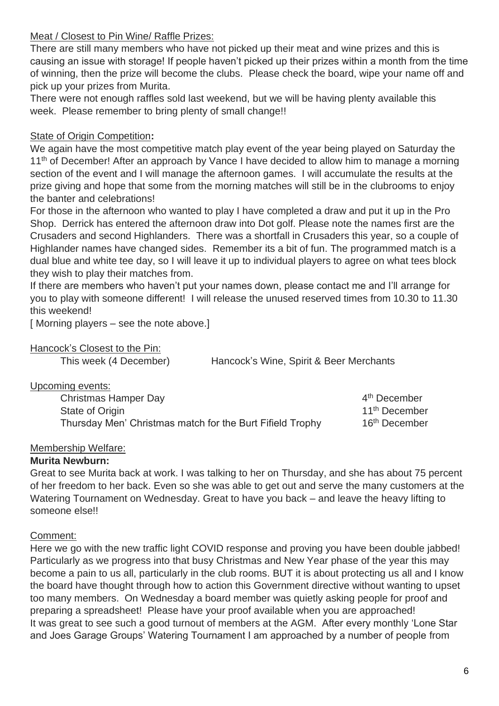#### Meat / Closest to Pin Wine/ Raffle Prizes:

There are still many members who have not picked up their meat and wine prizes and this is causing an issue with storage! If people haven't picked up their prizes within a month from the time of winning, then the prize will become the clubs. Please check the board, wipe your name off and pick up your prizes from Murita.

There were not enough raffles sold last weekend, but we will be having plenty available this week. Please remember to bring plenty of small change!!

## State of Origin Competition**:**

We again have the most competitive match play event of the year being played on Saturday the 11<sup>th</sup> of December! After an approach by Vance I have decided to allow him to manage a morning section of the event and I will manage the afternoon games. I will accumulate the results at the prize giving and hope that some from the morning matches will still be in the clubrooms to enjoy the banter and celebrations!

For those in the afternoon who wanted to play I have completed a draw and put it up in the Pro Shop. Derrick has entered the afternoon draw into Dot golf. Please note the names first are the Crusaders and second Highlanders. There was a shortfall in Crusaders this year, so a couple of Highlander names have changed sides. Remember its a bit of fun. The programmed match is a dual blue and white tee day, so I will leave it up to individual players to agree on what tees block they wish to play their matches from.

If there are members who haven't put your names down, please contact me and I'll arrange for you to play with someone different! I will release the unused reserved times from 10.30 to 11.30 this weekend!

[ Morning players – see the note above.]

#### Hancock's Closest to the Pin:

This week (4 December) Hancock's Wine, Spirit & Beer Merchants

Upcoming events:

| Christmas Hamper Day                                      | 4 <sup>th</sup> December  |
|-----------------------------------------------------------|---------------------------|
| State of Origin                                           | 11 <sup>th</sup> December |
| Thursday Men' Christmas match for the Burt Fifield Trophy | 16 <sup>th</sup> December |

#### Membership Welfare:

## **Murita Newburn:**

Great to see Murita back at work. I was talking to her on Thursday, and she has about 75 percent of her freedom to her back. Even so she was able to get out and serve the many customers at the Watering Tournament on Wednesday. Great to have you back – and leave the heavy lifting to someone else!!

## Comment:

Here we go with the new traffic light COVID response and proving you have been double jabbed! Particularly as we progress into that busy Christmas and New Year phase of the year this may become a pain to us all, particularly in the club rooms. BUT it is about protecting us all and I know the board have thought through how to action this Government directive without wanting to upset too many members. On Wednesday a board member was quietly asking people for proof and preparing a spreadsheet! Please have your proof available when you are approached! It was great to see such a good turnout of members at the AGM. After every monthly 'Lone Star and Joes Garage Groups' Watering Tournament I am approached by a number of people from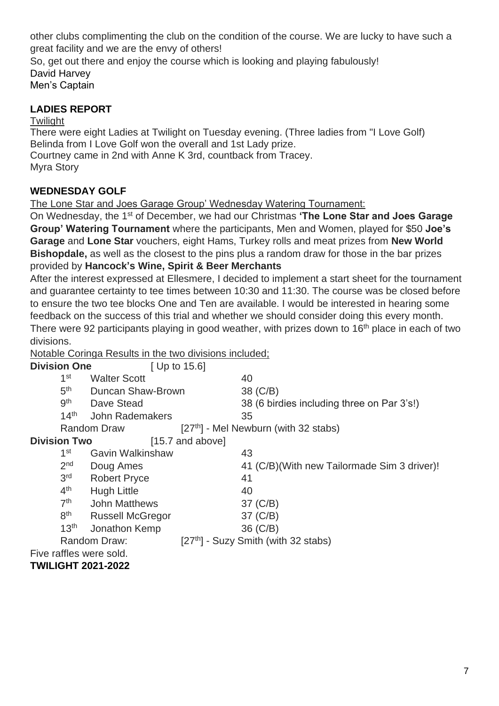other clubs complimenting the club on the condition of the course. We are lucky to have such a great facility and we are the envy of others!

So, get out there and enjoy the course which is looking and playing fabulously! David Harvey

Men's Captain

## **LADIES REPORT**

#### **Twilight**

There were eight Ladies at Twilight on Tuesday evening. (Three ladies from "I Love Golf) Belinda from I Love Golf won the overall and 1st Lady prize. Courtney came in 2nd with Anne K 3rd, countback from Tracey. Myra Story

## **WEDNESDAY GOLF**

The Lone Star and Joes Garage Group' Wednesday Watering Tournament:

On Wednesday, the 1<sup>st</sup> of December, we had our Christmas 'The Lone Star and Joes Garage **Group' Watering Tournament** where the participants, Men and Women, played for \$50 **Joe's Garage** and **Lone Star** vouchers, eight Hams, Turkey rolls and meat prizes from **New World Bishopdale,** as well as the closest to the pins plus a random draw for those in the bar prizes provided by **Hancock's Wine, Spirit & Beer Merchants**

After the interest expressed at Ellesmere, I decided to implement a start sheet for the tournament and guarantee certainty to tee times between 10:30 and 11:30. The course was be closed before to ensure the two tee blocks One and Ten are available. I would be interested in hearing some feedback on the success of this trial and whether we should consider doing this every month. There were 92 participants playing in good weather, with prizes down to 16<sup>th</sup> place in each of two divisions.

Notable Coringa Results in the two divisions included;

| <b>Division One</b> | [Up to $15.6$ ]           |                                                   |                                             |
|---------------------|---------------------------|---------------------------------------------------|---------------------------------------------|
| 1 <sup>st</sup>     | <b>Walter Scott</b>       | 40                                                |                                             |
| 5 <sup>th</sup>     | Duncan Shaw-Brown         | 38 (C/B)                                          |                                             |
| <b>gth</b>          | Dave Stead                |                                                   | 38 (6 birdies including three on Par 3's!)  |
| 14 <sup>th</sup>    | John Rademakers           | 35                                                |                                             |
| <b>Random Draw</b>  |                           | [27 <sup>th</sup> ] - Mel Newburn (with 32 stabs) |                                             |
| <b>Division Two</b> |                           | [15.7 and above]                                  |                                             |
| 1 <sup>st</sup>     | Gavin Walkinshaw          | 43                                                |                                             |
| 2 <sub>nd</sub>     | Doug Ames                 |                                                   | 41 (C/B)(With new Tailormade Sim 3 driver)! |
| 3 <sup>rd</sup>     | <b>Robert Pryce</b>       | 41                                                |                                             |
| 4 <sup>th</sup>     | <b>Hugh Little</b>        | 40                                                |                                             |
| 7 <sup>th</sup>     | <b>John Matthews</b>      | 37 (C/B)                                          |                                             |
| 8 <sup>th</sup>     | <b>Russell McGregor</b>   | 37 (C/B)                                          |                                             |
| 13 <sup>th</sup>    | Jonathon Kemp             | 36 (C/B)                                          |                                             |
| Random Draw:        |                           | $[27th]$ - Suzy Smith (with 32 stabs)             |                                             |
|                     | Five raffles were sold.   |                                                   |                                             |
|                     | <b>TWILIGHT 2021-2022</b> |                                                   |                                             |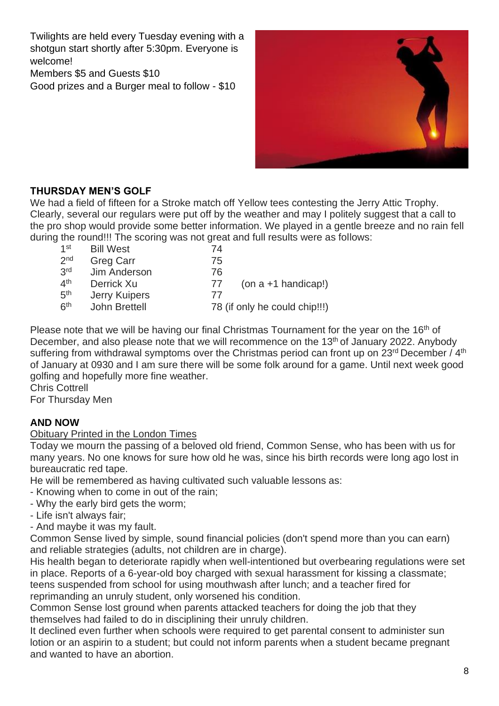Twilights are held every Tuesday evening with a shotgun start shortly after 5:30pm. Everyone is welcome!

Members \$5 and Guests \$10 Good prizes and a Burger meal to follow - \$10



### **THURSDAY MEN'S GOLF**

We had a field of fifteen for a Stroke match off Yellow tees contesting the Jerry Attic Trophy. Clearly, several our regulars were put off by the weather and may I politely suggest that a call to the pro shop would provide some better information. We played in a gentle breeze and no rain fell during the round!!! The scoring was not great and full results were as follows:

| 1st                            | <b>Bill West</b>     | 74                              |
|--------------------------------|----------------------|---------------------------------|
| 2 <sub>nd</sub>                | <b>Greg Carr</b>     | 75                              |
| 3 <sup>rd</sup>                | Jim Anderson         | 76                              |
| $\mathbf{\Lambda}^{\text{th}}$ | Derrick Xu           | $($ on a +1 handicap! $)$<br>77 |
| 5 <sup>th</sup>                | <b>Jerry Kuipers</b> | 77                              |
| 6 <sup>th</sup>                | John Brettell        | 78 (if only he could chip!!!)   |

Please note that we will be having our final Christmas Tournament for the year on the 16<sup>th</sup> of December, and also please note that we will recommence on the 13<sup>th</sup> of January 2022. Anybody suffering from withdrawal symptoms over the Christmas period can front up on 23<sup>rd</sup> December / 4<sup>th</sup> of January at 0930 and I am sure there will be some folk around for a game. Until next week good golfing and hopefully more fine weather.

Chris Cottrell

For Thursday Men

## **AND NOW**

Obituary Printed in the London Times

Today we mourn the passing of a beloved old friend, Common Sense, who has been with us for many years. No one knows for sure how old he was, since his birth records were long ago lost in bureaucratic red tape.

He will be remembered as having cultivated such valuable lessons as:

- Knowing when to come in out of the rain;
- Why the early bird gets the worm;
- Life isn't always fair;
- And maybe it was my fault.

Common Sense lived by simple, sound financial policies (don't spend more than you can earn) and reliable strategies (adults, not children are in charge).

His health began to deteriorate rapidly when well-intentioned but overbearing regulations were set in place. Reports of a 6-year-old boy charged with sexual harassment for kissing a classmate; teens suspended from school for using mouthwash after lunch; and a teacher fired for reprimanding an unruly student, only worsened his condition.

Common Sense lost ground when parents attacked teachers for doing the job that they themselves had failed to do in disciplining their unruly children.

It declined even further when schools were required to get parental consent to administer sun lotion or an aspirin to a student; but could not inform parents when a student became pregnant and wanted to have an abortion.